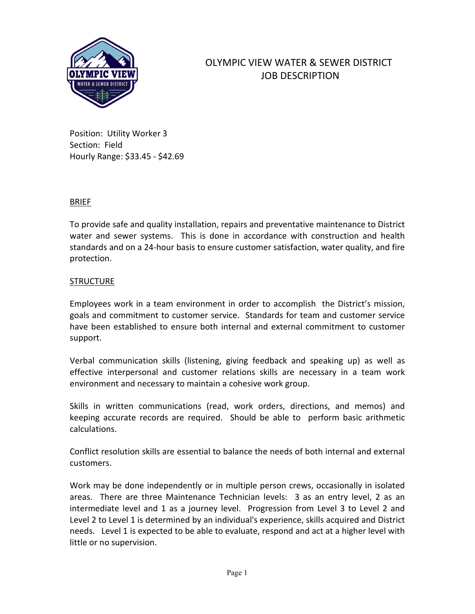

# OLYMPIC VIEW WATER & SEWER DISTRICT JOB DESCRIPTION

Position: Utility Worker 3 Section: Field Hourly Range: \$33.45 - \$42.69

### BRIEF

To provide safe and quality installation, repairs and preventative maintenance to District water and sewer systems. This is done in accordance with construction and health standards and on a 24-hour basis to ensure customer satisfaction, water quality, and fire protection.

### **STRUCTURE**

Employees work in a team environment in order to accomplish the District's mission, goals and commitment to customer service. Standards for team and customer service have been established to ensure both internal and external commitment to customer support.

Verbal communication skills (listening, giving feedback and speaking up) as well as effective interpersonal and customer relations skills are necessary in a team work environment and necessary to maintain a cohesive work group.

Skills in written communications (read, work orders, directions, and memos) and keeping accurate records are required. Should be able to perform basic arithmetic calculations.

Conflict resolution skills are essential to balance the needs of both internal and external customers.

Work may be done independently or in multiple person crews, occasionally in isolated areas. There are three Maintenance Technician levels: 3 as an entry level, 2 as an intermediate level and 1 as a journey level. Progression from Level 3 to Level 2 and Level 2 to Level 1 is determined by an individual's experience, skills acquired and District needs. Level 1 is expected to be able to evaluate, respond and act at a higher level with little or no supervision.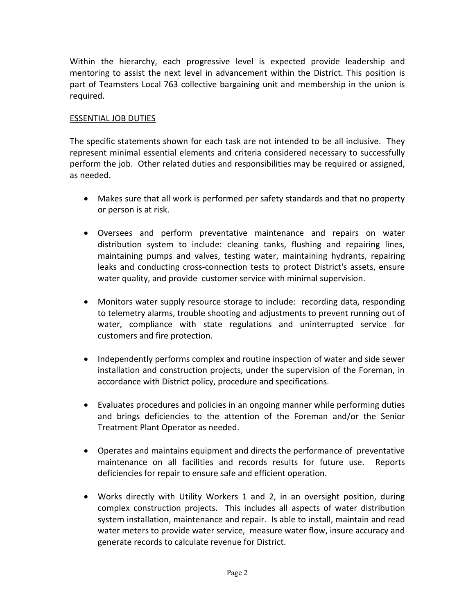Within the hierarchy, each progressive level is expected provide leadership and mentoring to assist the next level in advancement within the District. This position is part of Teamsters Local 763 collective bargaining unit and membership in the union is required.

### ESSENTIAL JOB DUTIES

The specific statements shown for each task are not intended to be all inclusive. They represent minimal essential elements and criteria considered necessary to successfully perform the job. Other related duties and responsibilities may be required or assigned, as needed.

- Makes sure that all work is performed per safety standards and that no property or person is at risk.
- Oversees and perform preventative maintenance and repairs on water distribution system to include: cleaning tanks, flushing and repairing lines, maintaining pumps and valves, testing water, maintaining hydrants, repairing leaks and conducting cross-connection tests to protect District's assets, ensure water quality, and provide customer service with minimal supervision.
- Monitors water supply resource storage to include: recording data, responding to telemetry alarms, trouble shooting and adjustments to prevent running out of water, compliance with state regulations and uninterrupted service for customers and fire protection.
- Independently performs complex and routine inspection of water and side sewer installation and construction projects, under the supervision of the Foreman, in accordance with District policy, procedure and specifications.
- Evaluates procedures and policies in an ongoing manner while performing duties and brings deficiencies to the attention of the Foreman and/or the Senior Treatment Plant Operator as needed.
- Operates and maintains equipment and directs the performance of preventative maintenance on all facilities and records results for future use. Reports deficiencies for repair to ensure safe and efficient operation.
- Works directly with Utility Workers 1 and 2, in an oversight position, during complex construction projects. This includes all aspects of water distribution system installation, maintenance and repair. Is able to install, maintain and read water meters to provide water service, measure water flow, insure accuracy and generate records to calculate revenue for District.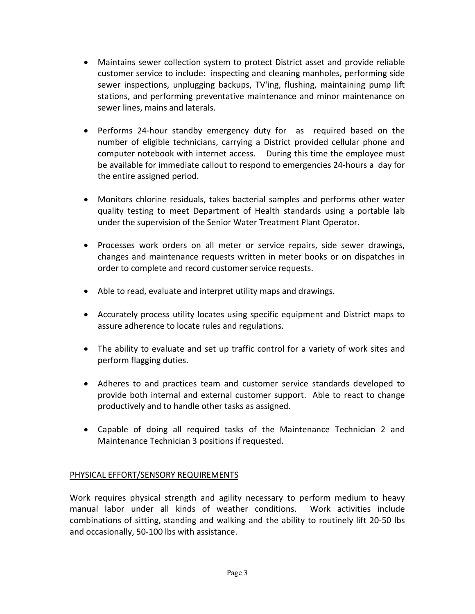- Maintains sewer collection system to protect District asset and provide reliable customer service to include: inspecting and cleaning manholes, performing side sewer inspections, unplugging backups, TV'ing, flushing, maintaining pump lift stations, and performing preventative maintenance and minor maintenance on sewer lines, mains and laterals.
- Performs 24-hour standby emergency duty for as required based on the number of eligible technicians, carrying a District provided cellular phone and computer notebook with internet access. During this time the employee must be available for immediate callout to respond to emergencies 24-hours a day for the entire assigned period.
- Monitors chlorine residuals, takes bacterial samples and performs other water quality testing to meet Department of Health standards using a portable lab under the supervision of the Senior Water Treatment Plant Operator.
- Processes work orders on all meter or service repairs, side sewer drawings, changes and maintenance requests written in meter books or on dispatches in order to complete and record customer service requests.
- Able to read, evaluate and interpret utility maps and drawings.
- Accurately process utility locates using specific equipment and District maps to assure adherence to locate rules and regulations.
- The ability to evaluate and set up traffic control for a variety of work sites and perform flagging duties.
- Adheres to and practices team and customer service standards developed to provide both internal and external customer support. Able to react to change productively and to handle other tasks as assigned.
- Capable of doing all required tasks of the Maintenance Technician 2 and Maintenance Technician 3 positions if requested.

# PHYSICAL EFFORT/SENSORY REQUIREMENTS

Work requires physical strength and agility necessary to perform medium to heavy manual labor under all kinds of weather conditions. Work activities include combinations of sitting, standing and walking and the ability to routinely lift 20-50 lbs and occasionally, 50-100 lbs with assistance.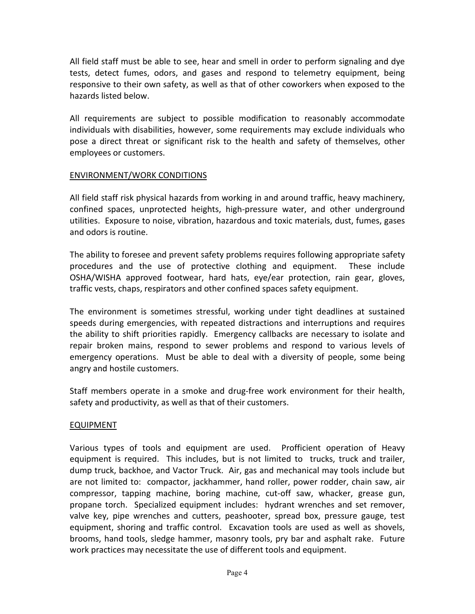All field staff must be able to see, hear and smell in order to perform signaling and dye tests, detect fumes, odors, and gases and respond to telemetry equipment, being responsive to their own safety, as well as that of other coworkers when exposed to the hazards listed below.

All requirements are subject to possible modification to reasonably accommodate individuals with disabilities, however, some requirements may exclude individuals who pose a direct threat or significant risk to the health and safety of themselves, other employees or customers.

### ENVIRONMENT/WORK CONDITIONS

All field staff risk physical hazards from working in and around traffic, heavy machinery, confined spaces, unprotected heights, high-pressure water, and other underground utilities. Exposure to noise, vibration, hazardous and toxic materials, dust, fumes, gases and odors is routine.

The ability to foresee and prevent safety problems requires following appropriate safety procedures and the use of protective clothing and equipment. These include OSHA/WISHA approved footwear, hard hats, eye/ear protection, rain gear, gloves, traffic vests, chaps, respirators and other confined spaces safety equipment.

The environment is sometimes stressful, working under tight deadlines at sustained speeds during emergencies, with repeated distractions and interruptions and requires the ability to shift priorities rapidly. Emergency callbacks are necessary to isolate and repair broken mains, respond to sewer problems and respond to various levels of emergency operations. Must be able to deal with a diversity of people, some being angry and hostile customers.

Staff members operate in a smoke and drug-free work environment for their health, safety and productivity, as well as that of their customers.

# EQUIPMENT

Various types of tools and equipment are used. Profficient operation of Heavy equipment is required. This includes, but is not limited to trucks, truck and trailer, dump truck, backhoe, and Vactor Truck. Air, gas and mechanical may tools include but are not limited to: compactor, jackhammer, hand roller, power rodder, chain saw, air compressor, tapping machine, boring machine, cut-off saw, whacker, grease gun, propane torch. Specialized equipment includes: hydrant wrenches and set remover, valve key, pipe wrenches and cutters, peashooter, spread box, pressure gauge, test equipment, shoring and traffic control. Excavation tools are used as well as shovels, brooms, hand tools, sledge hammer, masonry tools, pry bar and asphalt rake. Future work practices may necessitate the use of different tools and equipment.